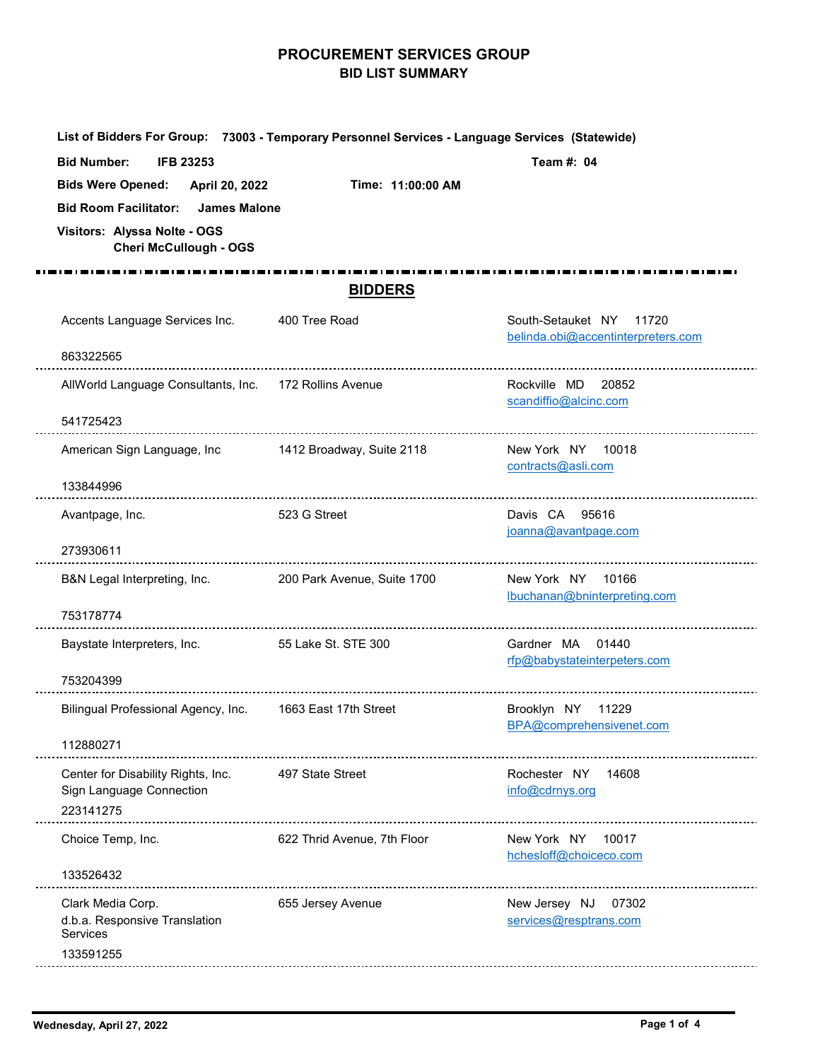## **PROCUREMENT SERVICES GROUP BID LIST SUMMARY**

|                                                                                    | List of Bidders For Group: 73003 - Temporary Personnel Services - Language Services (Statewide) |                                                               |
|------------------------------------------------------------------------------------|-------------------------------------------------------------------------------------------------|---------------------------------------------------------------|
| <b>Bid Number:</b><br><b>IFB 23253</b>                                             |                                                                                                 | Team #: 04                                                    |
| <b>Bids Were Opened:</b><br>April 20, 2022                                         | Time: 11:00:00 AM                                                                               |                                                               |
| <b>Bid Room Facilitator:</b><br><b>James Malone</b>                                |                                                                                                 |                                                               |
| Visitors: Alyssa Nolte - OGS<br><b>Cheri McCullough - OGS</b>                      |                                                                                                 |                                                               |
|                                                                                    |                                                                                                 |                                                               |
|                                                                                    | <b>BIDDERS</b>                                                                                  |                                                               |
| Accents Language Services Inc.                                                     | 400 Tree Road                                                                                   | South-Setauket NY 11720<br>belinda.obi@accentinterpreters.com |
| 863322565                                                                          |                                                                                                 |                                                               |
| AllWorld Language Consultants, Inc. 172 Rollins Avenue                             |                                                                                                 | Rockville MD<br>20852<br>scandiffio@alcinc.com                |
| 541725423                                                                          |                                                                                                 |                                                               |
| American Sign Language, Inc 1412 Broadway, Suite 2118                              |                                                                                                 | New York NY 10018<br>contracts@asli.com                       |
| 133844996                                                                          |                                                                                                 |                                                               |
| Avantpage, Inc.                                                                    | 523 G Street                                                                                    | Davis CA 95616<br>joanna@avantpage.com                        |
| 273930611                                                                          |                                                                                                 |                                                               |
| B&N Legal Interpreting, Inc.                                                       | 200 Park Avenue, Suite 1700                                                                     | New York NY 10166<br>lbuchanan@bninterpreting.com             |
| 753178774                                                                          |                                                                                                 |                                                               |
| Baystate Interpreters, Inc.                                                        | 55 Lake St. STE 300                                                                             | Gardner MA 01440<br>rfp@babystateinterpeters.com              |
| 753204399                                                                          |                                                                                                 |                                                               |
| Bilingual Professional Agency, Inc. 1663 East 17th Street                          |                                                                                                 | Brooklyn NY 11229<br>BPA@comprehensivenet.com                 |
| 112880271                                                                          |                                                                                                 |                                                               |
| Center for Disability Rights, Inc.<br>Sign Language Connection<br>223141275        | 497 State Street                                                                                | Rochester NY<br>14608<br>info@cdrnys.org                      |
| Choice Temp, Inc.                                                                  | 622 Thrid Avenue, 7th Floor                                                                     | New York NY<br>10017<br>hchesloff@choiceco.com                |
| 133526432                                                                          |                                                                                                 |                                                               |
| Clark Media Corp.<br>d.b.a. Responsive Translation<br><b>Services</b><br>133591255 | 655 Jersey Avenue                                                                               | New Jersey NJ<br>07302<br>services@resptrans.com              |
|                                                                                    |                                                                                                 |                                                               |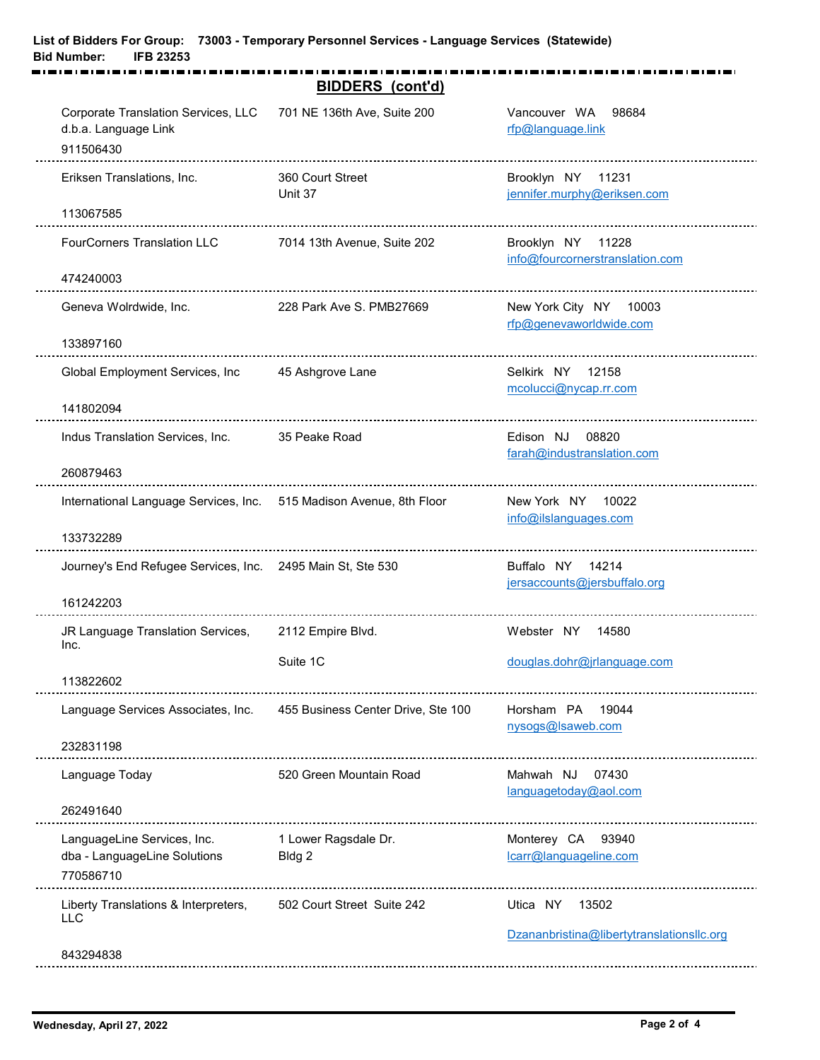|                                                                          | <b>BIDDERS</b> (cont'd)            |                                                                |
|--------------------------------------------------------------------------|------------------------------------|----------------------------------------------------------------|
| Corporate Translation Services, LLC<br>d.b.a. Language Link<br>911506430 | 701 NE 136th Ave, Suite 200        | Vancouver WA<br>98684<br>rfp@language.link                     |
| Eriksen Translations, Inc.                                               | 360 Court Street<br>Unit 37        | Brooklyn NY<br>11231<br>jennifer.murphy@eriksen.com            |
| 113067585                                                                |                                    |                                                                |
| <b>FourCorners Translation LLC</b>                                       | 7014 13th Avenue, Suite 202        | Brooklyn NY<br>11228<br>info@fourcornerstranslation.com        |
| 474240003                                                                |                                    |                                                                |
| Geneva Wolrdwide, Inc.<br>133897160                                      | 228 Park Ave S. PMB27669           | New York City NY<br>10003<br>rfp@genevaworldwide.com           |
| Global Employment Services, Inc<br>141802094                             | 45 Ashgrove Lane                   | Selkirk NY 12158<br>mcolucci@nycap.rr.com                      |
|                                                                          |                                    |                                                                |
| Indus Translation Services, Inc.<br>260879463                            | 35 Peake Road                      | Edison NJ<br>08820<br>farah@industranslation.com               |
| International Language Services, Inc. 515 Madison Avenue, 8th Floor      |                                    | New York NY<br>10022<br>info@ilslanguages.com                  |
| 133732289                                                                |                                    |                                                                |
| Journey's End Refugee Services, Inc. 2495 Main St, Ste 530<br>161242203  |                                    | Buffalo NY<br>14214<br>jersaccounts@jersbuffalo.org            |
| JR Language Translation Services,<br>Inc.                                | 2112 Empire Blvd.                  | Webster NY<br>14580                                            |
|                                                                          | Suite 1C                           | douglas.dohr@jrlanguage.com                                    |
| 113822602                                                                |                                    |                                                                |
| Language Services Associates, Inc.                                       | 455 Business Center Drive, Ste 100 | Horsham PA<br>19044<br>nysogs@lsaweb.com                       |
| 232831198                                                                |                                    |                                                                |
| Language Today                                                           | 520 Green Mountain Road            | Mahwah NJ<br>07430<br>languagetoday@aol.com                    |
| 262491640                                                                |                                    |                                                                |
| LanguageLine Services, Inc.<br>dba - LanguageLine Solutions<br>770586710 | 1 Lower Ragsdale Dr.<br>Bldg 2     | Monterey CA 93940<br>lcarr@languageline.com                    |
| Liberty Translations & Interpreters,<br><b>LLC</b>                       | 502 Court Street Suite 242         | 13502<br>Utica NY<br>Dzananbristina@libertytranslationsllc.org |
| 843294838                                                                |                                    |                                                                |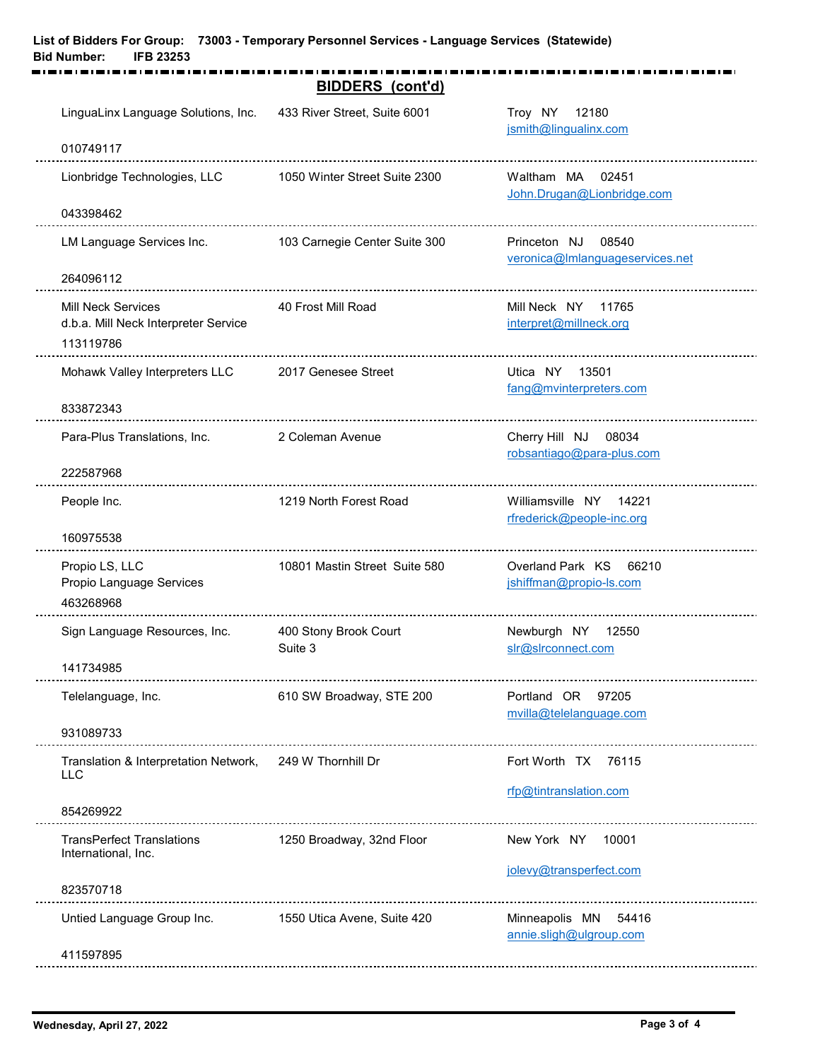|                                                                                | <b>BIDDERS</b> (cont'd)          |                                                          |
|--------------------------------------------------------------------------------|----------------------------------|----------------------------------------------------------|
| LinguaLinx Language Solutions, Inc.                                            | 433 River Street, Suite 6001     | Troy NY<br>12180<br>jsmith@lingualinx.com                |
| 010749117                                                                      |                                  |                                                          |
| Lionbridge Technologies, LLC                                                   | 1050 Winter Street Suite 2300    | Waltham MA<br>02451<br>John.Drugan@Lionbridge.com        |
| 043398462                                                                      |                                  |                                                          |
| LM Language Services Inc.                                                      | 103 Carnegie Center Suite 300    | 08540<br>Princeton NJ<br>veronica@Imlanguageservices.net |
| 264096112                                                                      |                                  |                                                          |
| <b>Mill Neck Services</b><br>d.b.a. Mill Neck Interpreter Service<br>113119786 | 40 Frost Mill Road               | Mill Neck NY 11765<br>interpret@millneck.org             |
| Mohawk Valley Interpreters LLC 2017 Genesee Street<br>833872343                |                                  | Utica NY<br>13501<br>fang@mvinterpreters.com             |
| Para-Plus Translations, Inc.                                                   | 2 Coleman Avenue                 | Cherry Hill NJ<br>08034<br>robsantiago@para-plus.com     |
| 222587968                                                                      |                                  |                                                          |
| People Inc.                                                                    | 1219 North Forest Road           | Williamsville NY 14221<br>rfrederick@people-inc.org      |
| 160975538                                                                      |                                  |                                                          |
| Propio LS, LLC<br>Propio Language Services<br>463268968                        | 10801 Mastin Street Suite 580    | Overland Park KS<br>66210<br>jshiffman@propio-ls.com     |
| Sign Language Resources, Inc.                                                  | 400 Stony Brook Court<br>Suite 3 | Newburgh NY 12550<br>slr@slrconnect.com                  |
| 141734985                                                                      |                                  |                                                          |
| Telelanguage, Inc.<br>931089733                                                | 610 SW Broadway, STE 200         | Portland OR 97205<br>mvilla@telelanguage.com             |
|                                                                                |                                  |                                                          |
| Translation & Interpretation Network, 249 W Thornhill Dr<br><b>LLC</b>         |                                  | Fort Worth TX 76115<br>rfp@tintranslation.com            |
| 854269922                                                                      |                                  |                                                          |
| <b>TransPerfect Translations</b><br>International, Inc.                        | 1250 Broadway, 32nd Floor        | 10001<br>New York NY                                     |
| 823570718                                                                      |                                  | jolevy@transperfect.com                                  |
| Untied Language Group Inc.                                                     | 1550 Utica Avene, Suite 420      | Minneapolis MN<br>54416<br>annie.sligh@ulgroup.com       |
| 411597895                                                                      |                                  |                                                          |